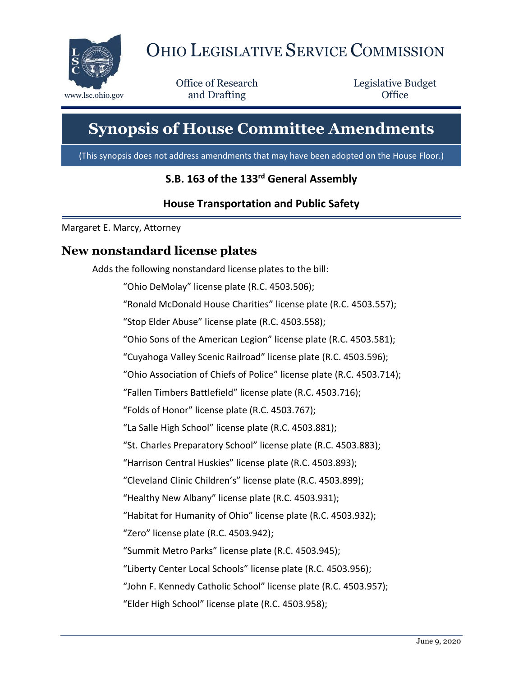

# OHIO LEGISLATIVE SERVICE COMMISSION

Office of Research www.lsc.ohio.gov **and Drafting Office** 

Legislative Budget

# **Synopsis of House Committee Amendments**

(This synopsis does not address amendments that may have been adopted on the House Floor.)

## **S.B. 163 of the 133rd General Assembly**

#### **House Transportation and Public Safety**

Margaret E. Marcy, Attorney

## **New nonstandard license plates**

Adds the following nonstandard license plates to the bill:

"Ohio DeMolay" license plate (R.C. 4503.506);

"Ronald McDonald House Charities" license plate (R.C. 4503.557);

"Stop Elder Abuse" license plate (R.C. 4503.558);

"Ohio Sons of the American Legion" license plate (R.C. 4503.581);

"Cuyahoga Valley Scenic Railroad" license plate (R.C. 4503.596);

"Ohio Association of Chiefs of Police" license plate (R.C. 4503.714);

"Fallen Timbers Battlefield" license plate (R.C. 4503.716);

"Folds of Honor" license plate (R.C. 4503.767);

"La Salle High School" license plate (R.C. 4503.881);

"St. Charles Preparatory School" license plate (R.C. 4503.883);

"Harrison Central Huskies" license plate (R.C. 4503.893);

"Cleveland Clinic Children's" license plate (R.C. 4503.899);

"Healthy New Albany" license plate (R.C. 4503.931);

"Habitat for Humanity of Ohio" license plate (R.C. 4503.932);

"Zero" license plate (R.C. 4503.942);

"Summit Metro Parks" license plate (R.C. 4503.945);

"Liberty Center Local Schools" license plate (R.C. 4503.956);

"John F. Kennedy Catholic School" license plate (R.C. 4503.957);

"Elder High School" license plate (R.C. 4503.958);